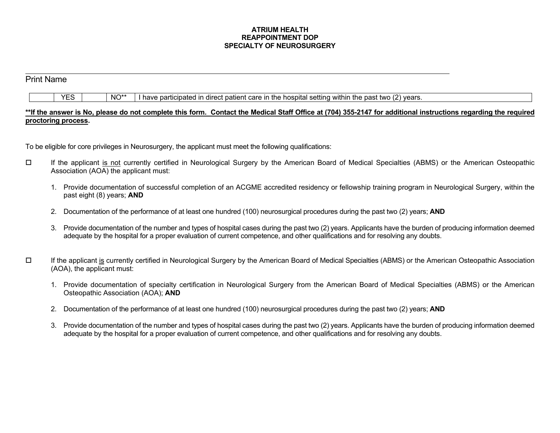## **ATRIUM HEALTH REAPPOINTMENT DOP SPECIALTY OF NEUROSURGERY**

## Print Name

|  | <b>YES</b> |  | NO*' |  |  | I have participated in direct patient care in the hospital setting within the past two (2) years. |  |  |  |  |
|--|------------|--|------|--|--|---------------------------------------------------------------------------------------------------|--|--|--|--|
|--|------------|--|------|--|--|---------------------------------------------------------------------------------------------------|--|--|--|--|

## **\*\*If the answer is No, please do not complete this form. Contact the Medical Staff Office at (704) 355-2147 for additional instructions regarding the required proctoring process.**

To be eligible for core privileges in Neurosurgery, the applicant must meet the following qualifications:

- If the applicant is not currently certified in Neurological Surgery by the American Board of Medical Specialties (ABMS) or the American Osteopathic Association (AOA) the applicant must:
	- 1. Provide documentation of successful completion of an ACGME accredited residency or fellowship training program in Neurological Surgery, within the past eight (8) years; **AND**
	- 2. Documentation of the performance of at least one hundred (100) neurosurgical procedures during the past two (2) years; **AND**
	- 3. Provide documentation of the number and types of hospital cases during the past two (2) years. Applicants have the burden of producing information deemed adequate by the hospital for a proper evaluation of current competence, and other qualifications and for resolving any doubts.
- $\Box$  If the applicant is currently certified in Neurological Surgery by the American Board of Medical Specialties (ABMS) or the American Osteopathic Association (AOA), the applicant must:
	- 1. Provide documentation of specialty certification in Neurological Surgery from the American Board of Medical Specialties (ABMS) or the American Osteopathic Association (AOA); **AND**
	- 2. Documentation of the performance of at least one hundred (100) neurosurgical procedures during the past two (2) years; **AND**
	- 3. Provide documentation of the number and types of hospital cases during the past two (2) years. Applicants have the burden of producing information deemed adequate by the hospital for a proper evaluation of current competence, and other qualifications and for resolving any doubts.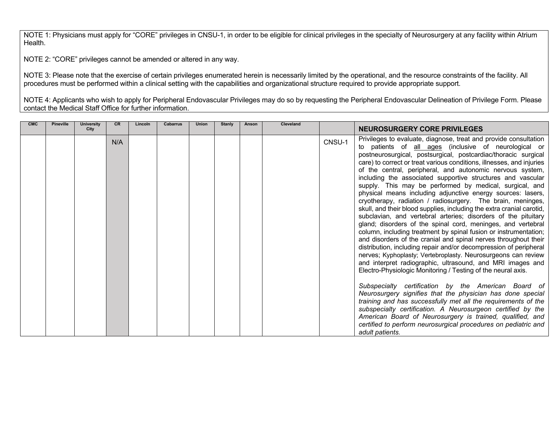NOTE 1: Physicians must apply for "CORE" privileges in CNSU-1, in order to be eligible for clinical privileges in the specialty of Neurosurgery at any facility within Atrium Health.

NOTE 2: "CORE" privileges cannot be amended or altered in any way.

NOTE 3: Please note that the exercise of certain privileges enumerated herein is necessarily limited by the operational, and the resource constraints of the facility. All procedures must be performed within a clinical setting with the capabilities and organizational structure required to provide appropriate support.

NOTE 4: Applicants who wish to apply for Peripheral Endovascular Privileges may do so by requesting the Peripheral Endovascular Delineation of Privilege Form. Please contact the Medical Staff Office for further information.

| Privileges to evaluate, diagnose, treat and provide consultation<br>N/A<br>CNSU-1<br>to patients of all ages (inclusive of neurological or<br>postneurosurgical, postsurgical, postcardiac/thoracic surgical                                                                                                                                                                                                                                                                                                                                                                                                                                                                                                                                                                                                                                                                                                                                                                                                                                                                                                                                                                                                                                                                                                                                                                                                            |  |
|-------------------------------------------------------------------------------------------------------------------------------------------------------------------------------------------------------------------------------------------------------------------------------------------------------------------------------------------------------------------------------------------------------------------------------------------------------------------------------------------------------------------------------------------------------------------------------------------------------------------------------------------------------------------------------------------------------------------------------------------------------------------------------------------------------------------------------------------------------------------------------------------------------------------------------------------------------------------------------------------------------------------------------------------------------------------------------------------------------------------------------------------------------------------------------------------------------------------------------------------------------------------------------------------------------------------------------------------------------------------------------------------------------------------------|--|
| care) to correct or treat various conditions, illnesses, and injuries<br>of the central, peripheral, and autonomic nervous system,<br>including the associated supportive structures and vascular<br>supply. This may be performed by medical, surgical, and<br>physical means including adjunctive energy sources: lasers,<br>cryotherapy, radiation / radiosurgery. The brain, meninges,<br>skull, and their blood supplies, including the extra cranial carotid,<br>subclavian, and vertebral arteries; disorders of the pituitary<br>gland; disorders of the spinal cord, meninges, and vertebral<br>column, including treatment by spinal fusion or instrumentation;<br>and disorders of the cranial and spinal nerves throughout their<br>distribution, including repair and/or decompression of peripheral<br>nerves; Kyphoplasty; Vertebroplasty. Neurosurgeons can review<br>and interpret radiographic, ultrasound, and MRI images and<br>Electro-Physiologic Monitoring / Testing of the neural axis.<br>Subspecialty certification by the American Board of<br>Neurosurgery signifies that the physician has done special<br>training and has successfully met all the requirements of the<br>subspecialty certification. A Neurosurgeon certified by the<br>American Board of Neurosurgery is trained, qualified, and<br>certified to perform neurosurgical procedures on pediatric and<br>adult patients. |  |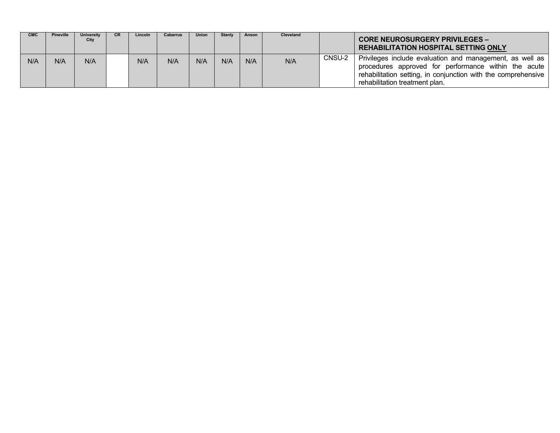| <b>CMC</b> | <b>Pineville</b> | University<br>City | <b>CR</b> | Lincoln | <b>Cabarrus</b> | <b>Union</b> | <b>Stanly</b> | Anson | Cleveland |        | <b>CORE NEUROSURGERY PRIVILEGES -</b><br><b>REHABILITATION HOSPITAL SETTING ONLY</b>                                                                                                                                |
|------------|------------------|--------------------|-----------|---------|-----------------|--------------|---------------|-------|-----------|--------|---------------------------------------------------------------------------------------------------------------------------------------------------------------------------------------------------------------------|
| N/A        | N/A              | N/A                |           | N/A     | N/A             | N/A          | N/A           | N/A   | N/A       | CNSU-2 | Privileges include evaluation and management, as well as<br>procedures approved for performance within the acute<br>rehabilitation setting, in conjunction with the comprehensive<br>rehabilitation treatment plan. |